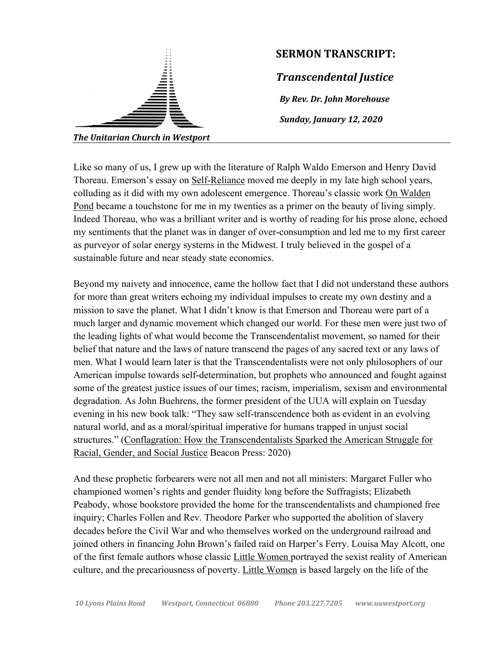

Like so many of us, I grew up with the literature of Ralph Waldo Emerson and Henry David Thoreau. Emerson's essay on Self-Reliance moved me deeply in my late high school years, colluding as it did with my own adolescent emergence. Thoreau's classic work On Walden Pond became a touchstone for me in my twenties as a primer on the beauty of living simply. Indeed Thoreau, who was a brilliant writer and is worthy of reading for his prose alone, echoed my sentiments that the planet was in danger of over-consumption and led me to my first career as purveyor of solar energy systems in the Midwest. I truly believed in the gospel of a sustainable future and near steady state economics.

Beyond my naivety and innocence, came the hollow fact that I did not understand these authors for more than great writers echoing my individual impulses to create my own destiny and a mission to save the planet. What I didn't know is that Emerson and Thoreau were part of a much larger and dynamic movement which changed our world. For these men were just two of the leading lights of what would become the Transcendentalist movement, so named for their belief that nature and the laws of nature transcend the pages of any sacred text or any laws of men. What I would learn later is that the Transcendentalists were not only philosophers of our American impulse towards self-determination, but prophets who announced and fought against some of the greatest justice issues of our times; racism, imperialism, sexism and environmental degradation. As John Buehrens, the former president of the UUA will explain on Tuesday evening in his new book talk: "They saw self-transcendence both as evident in an evolving natural world, and as a moral/spiritual imperative for humans trapped in unjust social structures." (Conflagration: How the Transcendentalists Sparked the American Struggle for Racial, Gender, and Social Justice Beacon Press: 2020)

And these prophetic forbearers were not all men and not all ministers: Margaret Fuller who championed women's rights and gender fluidity long before the Suffragists; Elizabeth Peabody, whose bookstore provided the home for the transcendentalists and championed free inquiry; Charles Follen and Rev. Theodore Parker who supported the abolition of slavery decades before the Civil War and who themselves worked on the underground railroad and joined others in financing John Brown's failed raid on Harper's Ferry. Louisa May Alcott, one of the first female authors whose classic Little Women portrayed the sexist reality of American culture, and the precariousness of poverty. Little Women is based largely on the life of the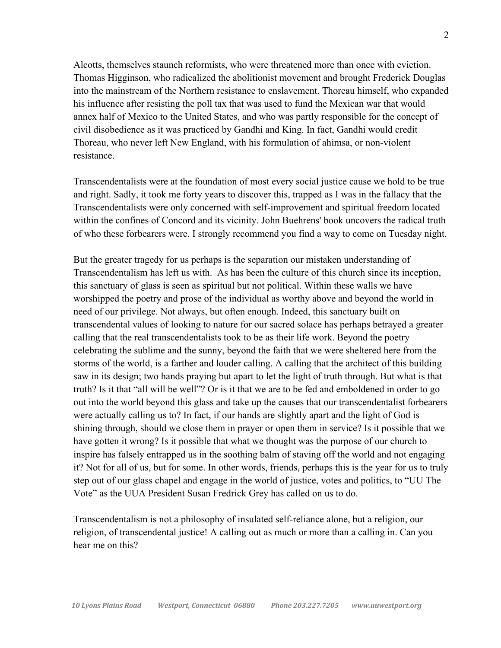Alcotts, themselves staunch reformists, who were threatened more than once with eviction. Thomas Higginson, who radicalized the abolitionist movement and brought Frederick Douglas into the mainstream of the Northern resistance to enslavement. Thoreau himself, who expanded his influence after resisting the poll tax that was used to fund the Mexican war that would annex half of Mexico to the United States, and who was partly responsible for the concept of civil disobedience as it was practiced by Gandhi and King. In fact, Gandhi would credit Thoreau, who never left New England, with his formulation of ahimsa, or non-violent resistance.

Transcendentalists were at the foundation of most every social justice cause we hold to be true and right. Sadly, it took me forty years to discover this, trapped as I was in the fallacy that the Transcendentalists were only concerned with self-improvement and spiritual freedom located within the confines of Concord and its vicinity. John Buehrens' book uncovers the radical truth of who these forbearers were. I strongly recommend you find a way to come on Tuesday night.

But the greater tragedy for us perhaps is the separation our mistaken understanding of Transcendentalism has left us with. As has been the culture of this church since its inception, this sanctuary of glass is seen as spiritual but not political. Within these walls we have worshipped the poetry and prose of the individual as worthy above and beyond the world in need of our privilege. Not always, but often enough. Indeed, this sanctuary built on transcendental values of looking to nature for our sacred solace has perhaps betrayed a greater calling that the real transcendentalists took to be as their life work. Beyond the poetry celebrating the sublime and the sunny, beyond the faith that we were sheltered here from the storms of the world, is a farther and louder calling. A calling that the architect of this building saw in its design; two hands praying but apart to let the light of truth through. But what is that truth? Is it that "all will be well"? Or is it that we are to be fed and emboldened in order to go out into the world beyond this glass and take up the causes that our transcendentalist forbearers were actually calling us to? In fact, if our hands are slightly apart and the light of God is shining through, should we close them in prayer or open them in service? Is it possible that we have gotten it wrong? Is it possible that what we thought was the purpose of our church to inspire has falsely entrapped us in the soothing balm of staving off the world and not engaging it? Not for all of us, but for some. In other words, friends, perhaps this is the year for us to truly step out of our glass chapel and engage in the world of justice, votes and politics, to "UU The Vote" as the UUA President Susan Fredrick Grey has called on us to do.

Transcendentalism is not a philosophy of insulated self-reliance alone, but a religion, our religion, of transcendental justice! A calling out as much or more than a calling in. Can you hear me on this?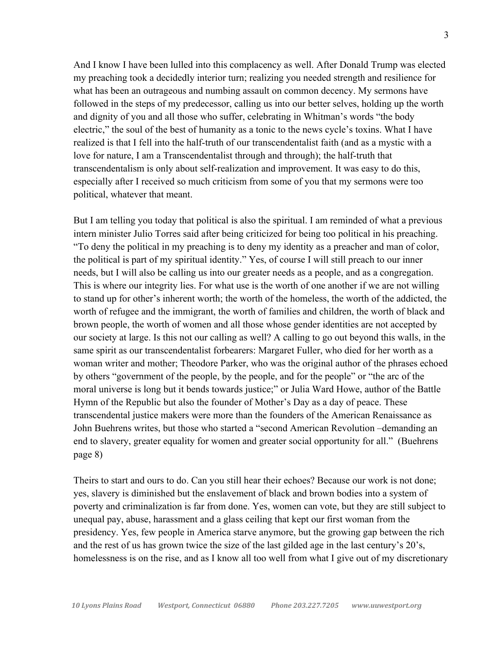And I know I have been lulled into this complacency as well. After Donald Trump was elected my preaching took a decidedly interior turn; realizing you needed strength and resilience for what has been an outrageous and numbing assault on common decency. My sermons have followed in the steps of my predecessor, calling us into our better selves, holding up the worth and dignity of you and all those who suffer, celebrating in Whitman's words "the body electric," the soul of the best of humanity as a tonic to the news cycle's toxins. What I have realized is that I fell into the half-truth of our transcendentalist faith (and as a mystic with a love for nature, I am a Transcendentalist through and through); the half-truth that transcendentalism is only about self-realization and improvement. It was easy to do this, especially after I received so much criticism from some of you that my sermons were too political, whatever that meant.

But I am telling you today that political is also the spiritual. I am reminded of what a previous intern minister Julio Torres said after being criticized for being too political in his preaching. "To deny the political in my preaching is to deny my identity as a preacher and man of color, the political is part of my spiritual identity." Yes, of course I will still preach to our inner needs, but I will also be calling us into our greater needs as a people, and as a congregation. This is where our integrity lies. For what use is the worth of one another if we are not willing to stand up for other's inherent worth; the worth of the homeless, the worth of the addicted, the worth of refugee and the immigrant, the worth of families and children, the worth of black and brown people, the worth of women and all those whose gender identities are not accepted by our society at large. Is this not our calling as well? A calling to go out beyond this walls, in the same spirit as our transcendentalist forbearers: Margaret Fuller, who died for her worth as a woman writer and mother; Theodore Parker, who was the original author of the phrases echoed by others "government of the people, by the people, and for the people" or "the arc of the moral universe is long but it bends towards justice;" or Julia Ward Howe, author of the Battle Hymn of the Republic but also the founder of Mother's Day as a day of peace. These transcendental justice makers were more than the founders of the American Renaissance as John Buehrens writes, but those who started a "second American Revolution –demanding an end to slavery, greater equality for women and greater social opportunity for all." (Buehrens page 8)

Theirs to start and ours to do. Can you still hear their echoes? Because our work is not done; yes, slavery is diminished but the enslavement of black and brown bodies into a system of poverty and criminalization is far from done. Yes, women can vote, but they are still subject to unequal pay, abuse, harassment and a glass ceiling that kept our first woman from the presidency. Yes, few people in America starve anymore, but the growing gap between the rich and the rest of us has grown twice the size of the last gilded age in the last century's 20's, homelessness is on the rise, and as I know all too well from what I give out of my discretionary